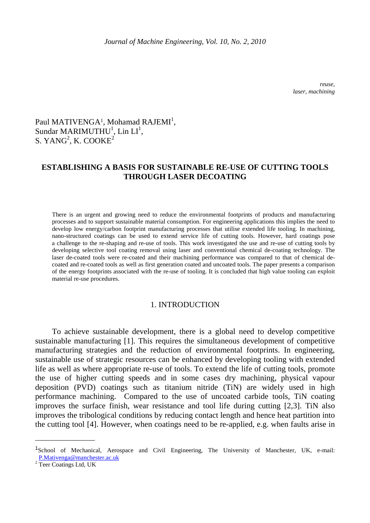*reuse, laser, machining* 

# Paul MATIVENGA<sup>1</sup>, Mohamad RAJEMI<sup>1</sup>, Sundar MARIMUTHU<sup>1</sup>, Lin  $LI<sup>1</sup>$ , S. YANG<sup>2</sup>, K. COOKE<sup>2</sup>

# **ESTABLISHING A BASIS FOR SUSTAINABLE RE-USE OF CUTTING TOOLS THROUGH LASER DECOATING**

There is an urgent and growing need to reduce the environmental footprints of products and manufacturing processes and to support sustainable material consumption. For engineering applications this implies the need to develop low energy/carbon footprint manufacturing processes that utilise extended life tooling. In machining, nano-structured coatings can be used to extend service life of cutting tools. However, hard coatings pose a challenge to the re-shaping and re-use of tools. This work investigated the use and re-use of cutting tools by developing selective tool coating removal using laser and conventional chemical de-coating technology. The laser de-coated tools were re-coated and their machining performance was compared to that of chemical decoated and re-coated tools as well as first generation coated and uncoated tools. The paper presents a comparison of the energy footprints associated with the re-use of tooling. It is concluded that high value tooling can exploit material re-use procedures.

# 1. INTRODUCTION

To achieve sustainable development, there is a global need to develop competitive sustainable manufacturing [1]. This requires the simultaneous development of competitive manufacturing strategies and the reduction of environmental footprints. In engineering, sustainable use of strategic resources can be enhanced by developing tooling with extended life as well as where appropriate re-use of tools. To extend the life of cutting tools, promote the use of higher cutting speeds and in some cases dry machining, physical vapour deposition (PVD) coatings such as titanium nitride (TiN) are widely used in high performance machining. Compared to the use of uncoated carbide tools, TiN coating improves the surface finish, wear resistance and tool life during cutting [2,3]. TiN also improves the tribological conditions by reducing contact length and hence heat partition into the cutting tool [4]. However, when coatings need to be re-applied, e.g. when faults arise in

\_\_\_\_\_\_\_\_\_\_\_\_\_\_\_\_

<sup>1</sup>School of Mechanical, Aerospace and Civil Engineering, The University of Manchester, UK, e-mail: 2 P.Mativenga@manchester.ac.uk<br><sup>2</sup> Teer Coatings Ltd, UK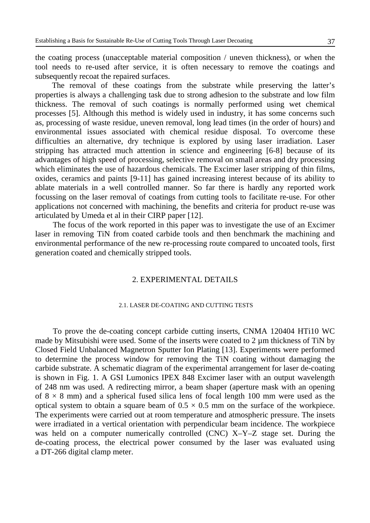the coating process (unacceptable material composition / uneven thickness), or when the tool needs to re-used after service, it is often necessary to remove the coatings and subsequently recoat the repaired surfaces.

The removal of these coatings from the substrate while preserving the latter's properties is always a challenging task due to strong adhesion to the substrate and low film thickness. The removal of such coatings is normally performed using wet chemical processes [5]. Although this method is widely used in industry, it has some concerns such as, processing of waste residue, uneven removal, long lead times (in the order of hours) and environmental issues associated with chemical residue disposal. To overcome these difficulties an alternative, dry technique is explored by using laser irradiation. Laser stripping has attracted much attention in science and engineering [6-8] because of its advantages of high speed of processing, selective removal on small areas and dry processing which eliminates the use of hazardous chemicals. The Excimer laser stripping of thin films, oxides, ceramics and paints [9-11] has gained increasing interest because of its ability to ablate materials in a well controlled manner. So far there is hardly any reported work focussing on the laser removal of coatings from cutting tools to facilitate re-use. For other applications not concerned with machining, the benefits and criteria for product re-use was articulated by Umeda et al in their CIRP paper [12].

The focus of the work reported in this paper was to investigate the use of an Excimer laser in removing TiN from coated carbide tools and then benchmark the machining and environmental performance of the new re-processing route compared to uncoated tools, first generation coated and chemically stripped tools.

# 2. EXPERIMENTAL DETAILS

### 2.1. LASER DE-COATING AND CUTTING TESTS

To prove the de-coating concept carbide cutting inserts, CNMA 120404 HTi10 WC made by Mitsubishi were used. Some of the inserts were coated to 2  $\mu$ m thickness of TiN by Closed Field Unbalanced Magnetron Sputter Ion Plating [13]. Experiments were performed to determine the process window for removing the TiN coating without damaging the carbide substrate. A schematic diagram of the experimental arrangement for laser de-coating is shown in Fig. 1. A GSI Lumonics IPEX 848 Excimer laser with an output wavelength of 248 nm was used. A redirecting mirror, a beam shaper (aperture mask with an opening of  $8 \times 8$  mm) and a spherical fused silica lens of focal length 100 mm were used as the optical system to obtain a square beam of  $0.5 \times 0.5$  mm on the surface of the workpiece. The experiments were carried out at room temperature and atmospheric pressure. The insets were irradiated in a vertical orientation with perpendicular beam incidence. The workpiece was held on a computer numerically controlled (CNC) X–Y–Z stage set. During the de-coating process, the electrical power consumed by the laser was evaluated using a DT-266 digital clamp meter.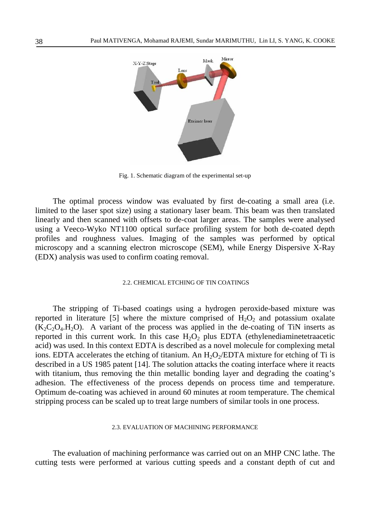

Fig. 1. Schematic diagram of the experimental set-up

The optimal process window was evaluated by first de-coating a small area (i.e. limited to the laser spot size) using a stationary laser beam. This beam was then translated linearly and then scanned with offsets to de-coat larger areas. The samples were analysed using a Veeco-Wyko NT1100 optical surface profiling system for both de-coated depth profiles and roughness values. Imaging of the samples was performed by optical microscopy and a scanning electron microscope (SEM), while Energy Dispersive X-Ray (EDX) analysis was used to confirm coating removal.

### 2.2. CHEMICAL ETCHING OF TIN COATINGS

The stripping of Ti-based coatings using a hydrogen peroxide-based mixture was reported in literature [5] where the mixture comprised of  $H_2O_2$  and potassium oxalate  $(K_2C_2O_4.H_2O)$ . A variant of the process was applied in the de-coating of TiN inserts as reported in this current work. In this case  $H_2O_2$  plus EDTA (ethylenediaminetetraacetic acid) was used. In this context EDTA is described as a novel molecule for complexing metal ions. EDTA accelerates the etching of titanium. An  $H_2O_2/EDTA$  mixture for etching of Ti is described in a US 1985 patent [14]. The solution attacks the coating interface where it reacts with titanium, thus removing the thin metallic bonding layer and degrading the coating's adhesion. The effectiveness of the process depends on process time and temperature. Optimum de-coating was achieved in around 60 minutes at room temperature. The chemical stripping process can be scaled up to treat large numbers of similar tools in one process.

#### 2.3. EVALUATION OF MACHINING PERFORMANCE

The evaluation of machining performance was carried out on an MHP CNC lathe. The cutting tests were performed at various cutting speeds and a constant depth of cut and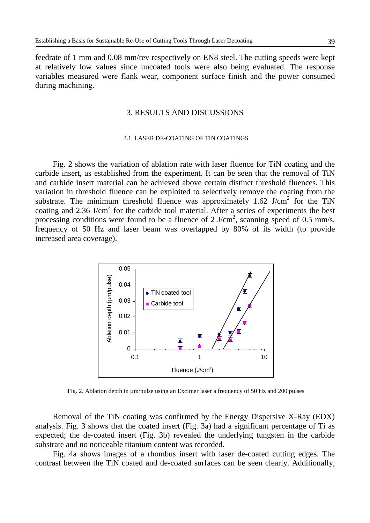feedrate of 1 mm and 0.08 mm/rev respectively on EN8 steel. The cutting speeds were kept at relatively low values since uncoated tools were also being evaluated. The response variables measured were flank wear, component surface finish and the power consumed during machining.

# 3. RESULTS AND DISCUSSIONS

#### 3.1. LASER DE-COATING OF TIN COATINGS

Fig. 2 shows the variation of ablation rate with laser fluence for TiN coating and the carbide insert, as established from the experiment. It can be seen that the removal of TiN and carbide insert material can be achieved above certain distinct threshold fluences. This variation in threshold fluence can be exploited to selectively remove the coating from the substrate. The minimum threshold fluence was approximately  $1.62$  J/cm<sup>2</sup> for the TiN coating and 2.36 J/cm<sup>2</sup> for the carbide tool material. After a series of experiments the best processing conditions were found to be a fluence of 2 J/cm<sup>2</sup>, scanning speed of 0.5 mm/s, frequency of 50 Hz and laser beam was overlapped by 80% of its width (to provide increased area coverage).



Fig. 2. Ablation depth in µm/pulse using an Excimer laser a frequency of 50 Hz and 200 pulses

Removal of the TiN coating was confirmed by the Energy Dispersive X-Ray (EDX) analysis. Fig. 3 shows that the coated insert (Fig. 3a) had a significant percentage of Ti as expected; the de-coated insert (Fig. 3b) revealed the underlying tungsten in the carbide substrate and no noticeable titanium content was recorded.

Fig. 4a shows images of a rhombus insert with laser de-coated cutting edges. The contrast between the TiN coated and de-coated surfaces can be seen clearly. Additionally,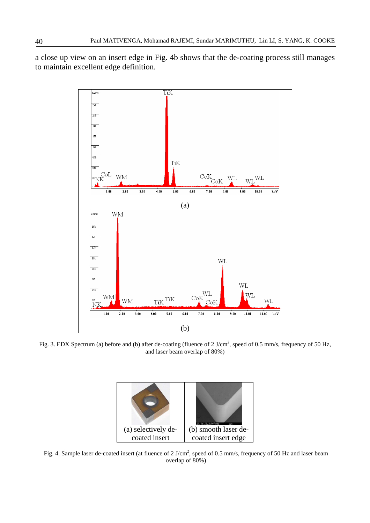a close up view on an insert edge in Fig. 4b shows that the de-coating process still manages to maintain excellent edge definition.



Fig. 3. EDX Spectrum (a) before and (b) after de-coating (fluence of 2 J/cm<sup>2</sup>, speed of 0.5 mm/s, frequency of 50 Hz, and laser beam overlap of 80%)

| (a) selectively de- | (b) smooth laser de- |
|---------------------|----------------------|
| coated insert       | coated insert edge   |

Fig. 4. Sample laser de-coated insert (at fluence of  $2 \text{ J/cm}^2$ , speed of 0.5 mm/s, frequency of 50 Hz and laser beam overlap of 80%)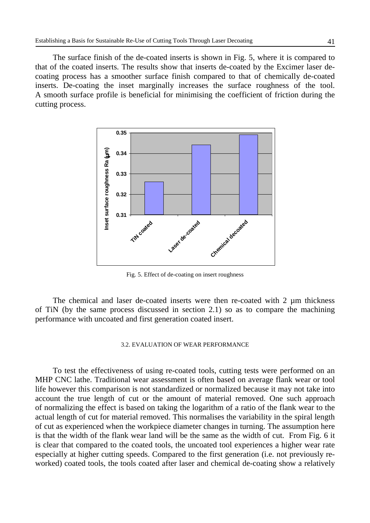The surface finish of the de-coated inserts is shown in Fig. 5, where it is compared to that of the coated inserts. The results show that inserts de-coated by the Excimer laser decoating process has a smoother surface finish compared to that of chemically de-coated inserts. De-coating the inset marginally increases the surface roughness of the tool. A smooth surface profile is beneficial for minimising the coefficient of friction during the cutting process.



Fig. 5. Effect of de-coating on insert roughness

The chemical and laser de-coated inserts were then re-coated with 2 µm thickness of TiN (by the same process discussed in section 2.1) so as to compare the machining performance with uncoated and first generation coated insert.

## 3.2. EVALUATION OF WEAR PERFORMANCE

To test the effectiveness of using re-coated tools, cutting tests were performed on an MHP CNC lathe. Traditional wear assessment is often based on average flank wear or tool life however this comparison is not standardized or normalized because it may not take into account the true length of cut or the amount of material removed. One such approach of normalizing the effect is based on taking the logarithm of a ratio of the flank wear to the actual length of cut for material removed. This normalises the variability in the spiral length of cut as experienced when the workpiece diameter changes in turning. The assumption here is that the width of the flank wear land will be the same as the width of cut. From Fig. 6 it is clear that compared to the coated tools, the uncoated tool experiences a higher wear rate especially at higher cutting speeds. Compared to the first generation (i.e. not previously reworked) coated tools, the tools coated after laser and chemical de-coating show a relatively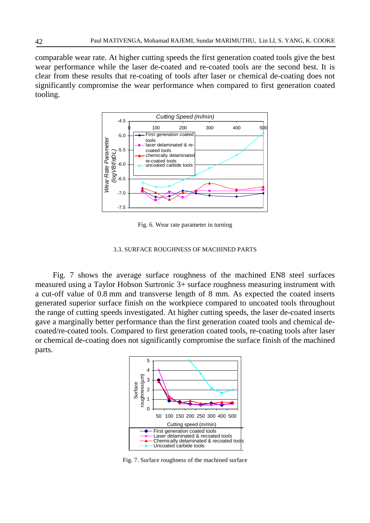comparable wear rate. At higher cutting speeds the first generation coated tools give the best wear performance while the laser de-coated and re-coated tools are the second best. It is clear from these results that re-coating of tools after laser or chemical de-coating does not significantly compromise the wear performance when compared to first generation coated tooling.



Fig. 6. Wear rate parameter in turning

#### 3.3. SURFACE ROUGHNESS OF MACHINED PARTS

Fig. 7 shows the average surface roughness of the machined EN8 steel surfaces measured using a Taylor Hobson Surtronic 3+ surface roughness measuring instrument with a cut-off value of 0.8 mm and transverse length of 8 mm. As expected the coated inserts generated superior surface finish on the workpiece compared to uncoated tools throughout the range of cutting speeds investigated. At higher cutting speeds, the laser de-coated inserts gave a marginally better performance than the first generation coated tools and chemical decoated/re-coated tools. Compared to first generation coated tools, re-coating tools after laser or chemical de-coating does not significantly compromise the surface finish of the machined parts.



Fig. 7. Surface roughness of the machined surface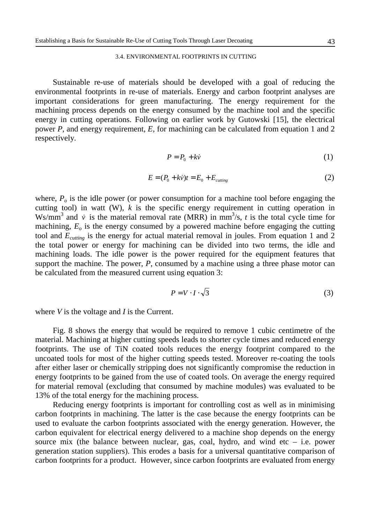#### 3.4. ENVIRONMENTAL FOOTPRINTS IN CUTTING

Sustainable re-use of materials should be developed with a goal of reducing the environmental footprints in re-use of materials. Energy and carbon footprint analyses are important considerations for green manufacturing. The energy requirement for the machining process depends on the energy consumed by the machine tool and the specific energy in cutting operations. Following on earlier work by Gutowski [15], the electrical power *P*, and energy requirement, *E*, for machining can be calculated from equation 1 and 2 respectively.

$$
P = P_0 + k\dot{v}
$$
 (1)

$$
E = (P_0 + k\dot{v})t = E_0 + E_{cuting}
$$
\n<sup>(2)</sup>

where,  $P<sub>o</sub>$  is the idle power (or power consumption for a machine tool before engaging the cutting tool) in watt (W),  $k$  is the specific energy requirement in cutting operation in Ws/mm<sup>3</sup> and  $\dot{v}$  is the material removal rate (MRR) in mm<sup>3</sup>/s, *t* is the total cycle time for machining, *Eo* is the energy consumed by a powered machine before engaging the cutting tool and  $E_{cutting}$  is the energy for actual material removal in joules. From equation 1 and 2 the total power or energy for machining can be divided into two terms, the idle and machining loads. The idle power is the power required for the equipment features that support the machine. The power, *P*, consumed by a machine using a three phase motor can be calculated from the measured current using equation 3:

$$
P = V \cdot I \cdot \sqrt{3} \tag{3}
$$

where *V* is the voltage and *I* is the Current.

Fig. 8 shows the energy that would be required to remove 1 cubic centimetre of the material. Machining at higher cutting speeds leads to shorter cycle times and reduced energy footprints. The use of TiN coated tools reduces the energy footprint compared to the uncoated tools for most of the higher cutting speeds tested. Moreover re-coating the tools after either laser or chemically stripping does not significantly compromise the reduction in energy footprints to be gained from the use of coated tools. On average the energy required for material removal (excluding that consumed by machine modules) was evaluated to be 13% of the total energy for the machining process.

Reducing energy footprints is important for controlling cost as well as in minimising carbon footprints in machining. The latter is the case because the energy footprints can be used to evaluate the carbon footprints associated with the energy generation. However, the carbon equivalent for electrical energy delivered to a machine shop depends on the energy source mix (the balance between nuclear, gas, coal, hydro, and wind etc  $-$  i.e. power generation station suppliers). This erodes a basis for a universal quantitative comparison of carbon footprints for a product. However, since carbon footprints are evaluated from energy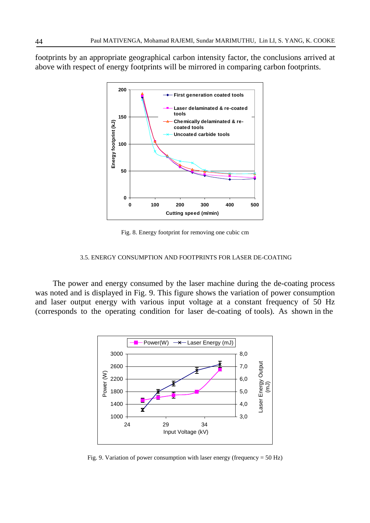footprints by an appropriate geographical carbon intensity factor, the conclusions arrived at above with respect of energy footprints will be mirrored in comparing carbon footprints.



Fig. 8. Energy footprint for removing one cubic cm

### 3.5. ENERGY CONSUMPTION AND FOOTPRINTS FOR LASER DE-COATING

The power and energy consumed by the laser machine during the de-coating process was noted and is displayed in Fig. 9. This figure shows the variation of power consumption and laser output energy with various input voltage at a constant frequency of 50 Hz (corresponds to the operating condition for laser de-coating of tools). As shown in the



Fig. 9. Variation of power consumption with laser energy (frequency = 50 Hz)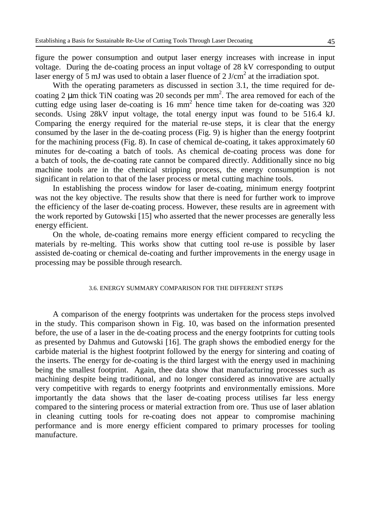figure the power consumption and output laser energy increases with increase in input voltage. During the de-coating process an input voltage of 28 kV corresponding to output laser energy of  $\overline{5}$  mJ was used to obtain a laser fluence of 2 J/cm<sup>2</sup> at the irradiation spot.

With the operating parameters as discussed in section 3.1, the time required for decoating 2  $\mu$ m thick TiN coating was 20 seconds per mm<sup>2</sup>. The area removed for each of the cutting edge using laser de-coating is  $16 \text{ mm}^2$  hence time taken for de-coating was  $320$ seconds. Using 28kV input voltage, the total energy input was found to be 516.4 kJ. Comparing the energy required for the material re-use steps, it is clear that the energy consumed by the laser in the de-coating process (Fig. 9) is higher than the energy footprint for the machining process (Fig. 8). In case of chemical de-coating, it takes approximately 60 minutes for de-coating a batch of tools. As chemical de-coating process was done for a batch of tools, the de-coating rate cannot be compared directly. Additionally since no big machine tools are in the chemical stripping process, the energy consumption is not significant in relation to that of the laser process or metal cutting machine tools.

In establishing the process window for laser de-coating, minimum energy footprint was not the key objective. The results show that there is need for further work to improve the efficiency of the laser de-coating process. However, these results are in agreement with the work reported by Gutowski [15] who asserted that the newer processes are generally less energy efficient.

On the whole, de-coating remains more energy efficient compared to recycling the materials by re-melting. This works show that cutting tool re-use is possible by laser assisted de-coating or chemical de-coating and further improvements in the energy usage in processing may be possible through research.

### 3.6. ENERGY SUMMARY COMPARISON FOR THE DIFFERENT STEPS

A comparison of the energy footprints was undertaken for the process steps involved in the study. This comparison shown in Fig. 10, was based on the information presented before, the use of a laser in the de-coating process and the energy footprints for cutting tools as presented by Dahmus and Gutowski [16]. The graph shows the embodied energy for the carbide material is the highest footprint followed by the energy for sintering and coating of the inserts. The energy for de-coating is the third largest with the energy used in machining being the smallest footprint. Again, thee data show that manufacturing processes such as machining despite being traditional, and no longer considered as innovative are actually very competitive with regards to energy footprints and environmentally emissions. More importantly the data shows that the laser de-coating process utilises far less energy compared to the sintering process or material extraction from ore. Thus use of laser ablation in cleaning cutting tools for re-coating does not appear to compromise machining performance and is more energy efficient compared to primary processes for tooling manufacture.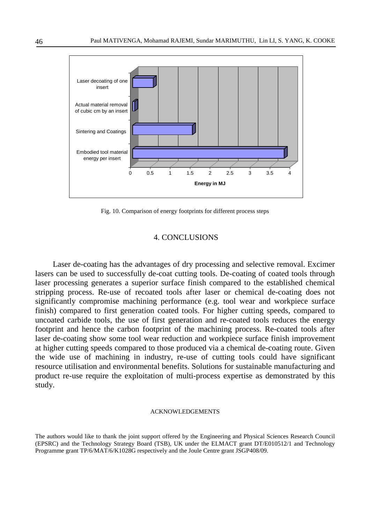

Fig. 10. Comparison of energy footprints for different process steps

# 4. CONCLUSIONS

Laser de-coating has the advantages of dry processing and selective removal. Excimer lasers can be used to successfully de-coat cutting tools. De-coating of coated tools through laser processing generates a superior surface finish compared to the established chemical stripping process. Re-use of recoated tools after laser or chemical de-coating does not significantly compromise machining performance (e.g. tool wear and workpiece surface finish) compared to first generation coated tools. For higher cutting speeds, compared to uncoated carbide tools, the use of first generation and re-coated tools reduces the energy footprint and hence the carbon footprint of the machining process. Re-coated tools after laser de-coating show some tool wear reduction and workpiece surface finish improvement at higher cutting speeds compared to those produced via a chemical de-coating route. Given the wide use of machining in industry, re-use of cutting tools could have significant resource utilisation and environmental benefits. Solutions for sustainable manufacturing and product re-use require the exploitation of multi-process expertise as demonstrated by this study.

#### ACKNOWLEDGEMENTS

The authors would like to thank the joint support offered by the Engineering and Physical Sciences Research Council (EPSRC) and the Technology Strategy Board (TSB), UK under the ELMACT grant DT/E010512/1 and Technology Programme grant TP/6/MAT/6/K1028G respectively and the Joule Centre grant JSGP408/09.